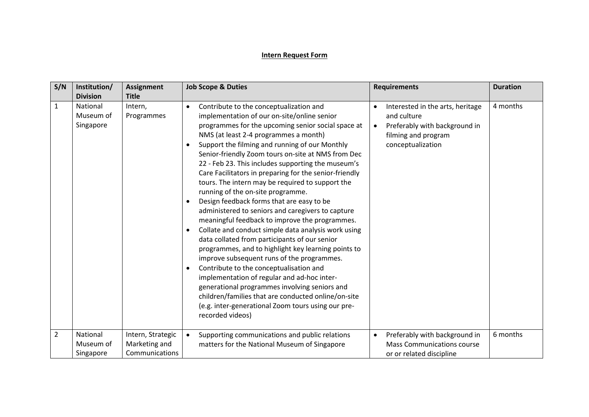## **Intern Request Form**

| S/N            | Institution/<br><b>Division</b>    | <b>Assignment</b><br><b>Title</b>                    | <b>Job Scope &amp; Duties</b>                                                                                                                                                                                                                                                                                                                                                                                                                                                                                                                                                                                                                                                                                                                                                                                                                                                                                                                                                                                                                                                                                                                                                              | <b>Requirements</b>                                                                                                                       | <b>Duration</b> |
|----------------|------------------------------------|------------------------------------------------------|--------------------------------------------------------------------------------------------------------------------------------------------------------------------------------------------------------------------------------------------------------------------------------------------------------------------------------------------------------------------------------------------------------------------------------------------------------------------------------------------------------------------------------------------------------------------------------------------------------------------------------------------------------------------------------------------------------------------------------------------------------------------------------------------------------------------------------------------------------------------------------------------------------------------------------------------------------------------------------------------------------------------------------------------------------------------------------------------------------------------------------------------------------------------------------------------|-------------------------------------------------------------------------------------------------------------------------------------------|-----------------|
| $\mathbf{1}$   | National<br>Museum of<br>Singapore | Intern,<br>Programmes                                | Contribute to the conceptualization and<br>$\bullet$<br>implementation of our on-site/online senior<br>programmes for the upcoming senior social space at<br>NMS (at least 2-4 programmes a month)<br>Support the filming and running of our Monthly<br>Senior-friendly Zoom tours on-site at NMS from Dec<br>22 - Feb 23. This includes supporting the museum's<br>Care Facilitators in preparing for the senior-friendly<br>tours. The intern may be required to support the<br>running of the on-site programme.<br>Design feedback forms that are easy to be<br>$\bullet$<br>administered to seniors and caregivers to capture<br>meaningful feedback to improve the programmes.<br>Collate and conduct simple data analysis work using<br>data collated from participants of our senior<br>programmes, and to highlight key learning points to<br>improve subsequent runs of the programmes.<br>Contribute to the conceptualisation and<br>$\bullet$<br>implementation of regular and ad-hoc inter-<br>generational programmes involving seniors and<br>children/families that are conducted online/on-site<br>(e.g. inter-generational Zoom tours using our pre-<br>recorded videos) | Interested in the arts, heritage<br>and culture<br>Preferably with background in<br>$\bullet$<br>filming and program<br>conceptualization | 4 months        |
| $\overline{2}$ | National<br>Museum of<br>Singapore | Intern, Strategic<br>Marketing and<br>Communications | Supporting communications and public relations<br>$\bullet$<br>matters for the National Museum of Singapore                                                                                                                                                                                                                                                                                                                                                                                                                                                                                                                                                                                                                                                                                                                                                                                                                                                                                                                                                                                                                                                                                | Preferably with background in<br>$\bullet$<br><b>Mass Communications course</b><br>or or related discipline                               | 6 months        |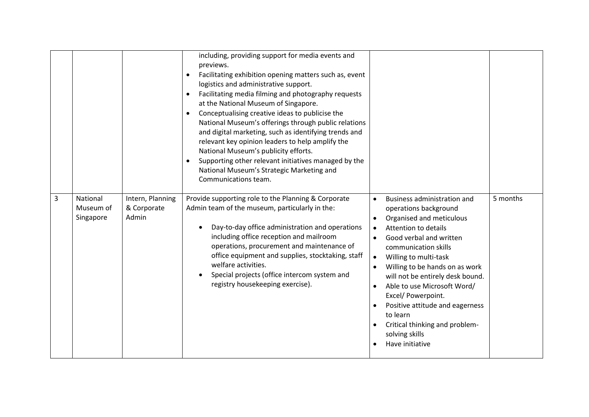|   |                                    |                                          | including, providing support for media events and<br>previews.<br>Facilitating exhibition opening matters such as, event<br>$\bullet$<br>logistics and administrative support.<br>Facilitating media filming and photography requests<br>at the National Museum of Singapore.<br>Conceptualising creative ideas to publicise the<br>$\bullet$<br>National Museum's offerings through public relations<br>and digital marketing, such as identifying trends and<br>relevant key opinion leaders to help amplify the<br>National Museum's publicity efforts.<br>Supporting other relevant initiatives managed by the<br>National Museum's Strategic Marketing and<br>Communications team. |                                                                                                                                                                                                                                                                                                                                                                                                                                                                                            |          |
|---|------------------------------------|------------------------------------------|-----------------------------------------------------------------------------------------------------------------------------------------------------------------------------------------------------------------------------------------------------------------------------------------------------------------------------------------------------------------------------------------------------------------------------------------------------------------------------------------------------------------------------------------------------------------------------------------------------------------------------------------------------------------------------------------|--------------------------------------------------------------------------------------------------------------------------------------------------------------------------------------------------------------------------------------------------------------------------------------------------------------------------------------------------------------------------------------------------------------------------------------------------------------------------------------------|----------|
| 3 | National<br>Museum of<br>Singapore | Intern, Planning<br>& Corporate<br>Admin | Provide supporting role to the Planning & Corporate<br>Admin team of the museum, particularly in the:<br>Day-to-day office administration and operations<br>including office reception and mailroom<br>operations, procurement and maintenance of<br>office equipment and supplies, stocktaking, staff<br>welfare activities.<br>Special projects (office intercom system and<br>registry housekeeping exercise).                                                                                                                                                                                                                                                                       | <b>Business administration and</b><br>$\bullet$<br>operations background<br>Organised and meticulous<br><b>Attention to details</b><br>$\bullet$<br>Good verbal and written<br>communication skills<br>Willing to multi-task<br>$\bullet$<br>Willing to be hands on as work<br>will not be entirely desk bound.<br>Able to use Microsoft Word/<br>Excel/ Powerpoint.<br>Positive attitude and eagerness<br>to learn<br>Critical thinking and problem-<br>solving skills<br>Have initiative | 5 months |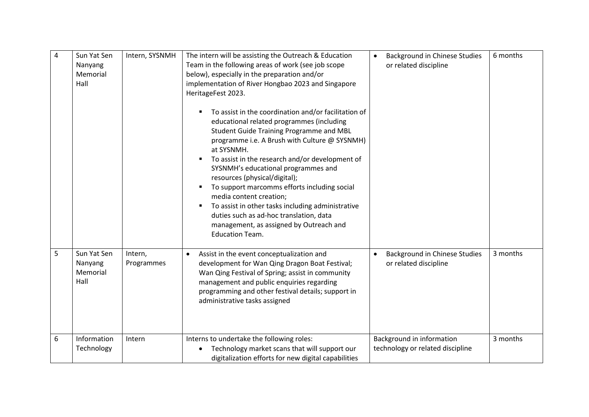| 4 | Sun Yat Sen<br>Nanyang<br>Memorial<br>Hall | Intern, SYSNMH        | The intern will be assisting the Outreach & Education<br>Team in the following areas of work (see job scope<br>below), especially in the preparation and/or<br>implementation of River Hongbao 2023 and Singapore<br>HeritageFest 2023.<br>To assist in the coordination and/or facilitation of<br>educational related programmes (including<br><b>Student Guide Training Programme and MBL</b><br>programme i.e. A Brush with Culture @ SYSNMH)<br>at SYSNMH.<br>To assist in the research and/or development of<br>SYSNMH's educational programmes and<br>resources (physical/digital);<br>To support marcomms efforts including social<br>media content creation;<br>To assist in other tasks including administrative<br>duties such as ad-hoc translation, data<br>management, as assigned by Outreach and<br><b>Education Team.</b> | <b>Background in Chinese Studies</b><br>$\bullet$<br>or related discipline | 6 months |
|---|--------------------------------------------|-----------------------|-------------------------------------------------------------------------------------------------------------------------------------------------------------------------------------------------------------------------------------------------------------------------------------------------------------------------------------------------------------------------------------------------------------------------------------------------------------------------------------------------------------------------------------------------------------------------------------------------------------------------------------------------------------------------------------------------------------------------------------------------------------------------------------------------------------------------------------------|----------------------------------------------------------------------------|----------|
| 5 | Sun Yat Sen<br>Nanyang<br>Memorial<br>Hall | Intern,<br>Programmes | Assist in the event conceptualization and<br>development for Wan Qing Dragon Boat Festival;<br>Wan Qing Festival of Spring; assist in community<br>management and public enquiries regarding<br>programming and other festival details; support in<br>administrative tasks assigned                                                                                                                                                                                                                                                                                                                                                                                                                                                                                                                                                       | <b>Background in Chinese Studies</b><br>or related discipline              | 3 months |
| 6 | Information<br>Technology                  | Intern                | Interns to undertake the following roles:<br>Technology market scans that will support our<br>digitalization efforts for new digital capabilities                                                                                                                                                                                                                                                                                                                                                                                                                                                                                                                                                                                                                                                                                         | Background in information<br>technology or related discipline              | 3 months |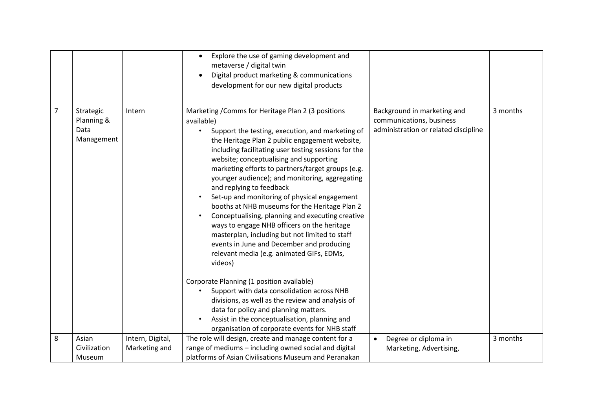|                |                                               |                                   | Explore the use of gaming development and<br>$\bullet$<br>metaverse / digital twin<br>Digital product marketing & communications<br>development for our new digital products                                                                                                                                                                                                                                                                                                                                                                                                                                                                                                                                                                                                                                                                                                                                           |                                                                                                 |          |
|----------------|-----------------------------------------------|-----------------------------------|------------------------------------------------------------------------------------------------------------------------------------------------------------------------------------------------------------------------------------------------------------------------------------------------------------------------------------------------------------------------------------------------------------------------------------------------------------------------------------------------------------------------------------------------------------------------------------------------------------------------------------------------------------------------------------------------------------------------------------------------------------------------------------------------------------------------------------------------------------------------------------------------------------------------|-------------------------------------------------------------------------------------------------|----------|
| $\overline{7}$ | Strategic<br>Planning &<br>Data<br>Management | Intern                            | Marketing / Comms for Heritage Plan 2 (3 positions<br>available)<br>Support the testing, execution, and marketing of<br>the Heritage Plan 2 public engagement website,<br>including facilitating user testing sessions for the<br>website; conceptualising and supporting<br>marketing efforts to partners/target groups (e.g.<br>younger audience); and monitoring, aggregating<br>and replying to feedback<br>Set-up and monitoring of physical engagement<br>booths at NHB museums for the Heritage Plan 2<br>Conceptualising, planning and executing creative<br>ways to engage NHB officers on the heritage<br>masterplan, including but not limited to staff<br>events in June and December and producing<br>relevant media (e.g. animated GIFs, EDMs,<br>videos)<br>Corporate Planning (1 position available)<br>Support with data consolidation across NHB<br>divisions, as well as the review and analysis of | Background in marketing and<br>communications, business<br>administration or related discipline | 3 months |
|                |                                               |                                   | data for policy and planning matters.<br>Assist in the conceptualisation, planning and<br>organisation of corporate events for NHB staff                                                                                                                                                                                                                                                                                                                                                                                                                                                                                                                                                                                                                                                                                                                                                                               |                                                                                                 |          |
| 8              | Asian<br>Civilization<br>Museum               | Intern, Digital,<br>Marketing and | The role will design, create and manage content for a<br>range of mediums - including owned social and digital<br>platforms of Asian Civilisations Museum and Peranakan                                                                                                                                                                                                                                                                                                                                                                                                                                                                                                                                                                                                                                                                                                                                                | Degree or diploma in<br>Marketing, Advertising,                                                 | 3 months |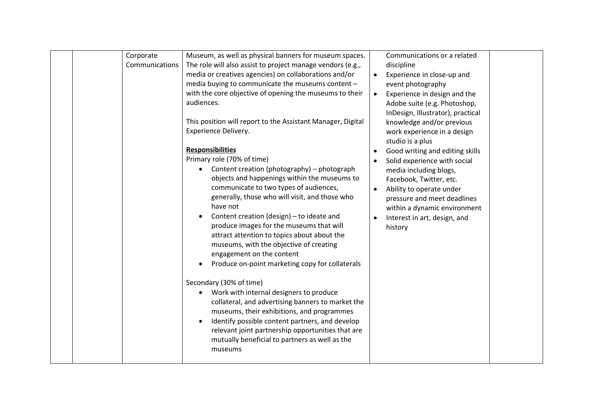| Corporate<br>Communications | Museum, as well as physical banners for museum spaces.<br>The role will also assist to project manage vendors (e.g.,<br>media or creatives agencies) on collaborations and/or<br>media buying to communicate the museums content -<br>with the core objective of opening the museums to their<br>audiences.<br>This position will report to the Assistant Manager, Digital<br>Experience Delivery.<br><b>Responsibilities</b><br>Primary role (70% of time)<br>Content creation (photography) - photograph<br>objects and happenings within the museums to<br>communicate to two types of audiences,<br>generally, those who will visit, and those who<br>have not<br>Content creation (design) - to ideate and<br>produce images for the museums that will<br>attract attention to topics about about the<br>museums, with the objective of creating<br>engagement on the content<br>Produce on-point marketing copy for collaterals<br>Secondary (30% of time)<br>Work with internal designers to produce<br>collateral, and advertising banners to market the<br>museums, their exhibitions, and programmes<br>Identify possible content partners, and develop<br>$\bullet$<br>relevant joint partnership opportunities that are<br>mutually beneficial to partners as well as the<br>museums | $\bullet$<br>$\bullet$ | Communications or a related<br>discipline<br>Experience in close-up and<br>event photography<br>Experience in design and the<br>Adobe suite (e.g. Photoshop,<br>InDesign, Illustrator), practical<br>knowledge and/or previous<br>work experience in a design<br>studio is a plus<br>Good writing and editing skills<br>Solid experience with social<br>media including blogs,<br>Facebook, Twitter, etc.<br>Ability to operate under<br>pressure and meet deadlines<br>within a dynamic environment<br>Interest in art, design, and<br>history |  |
|-----------------------------|--------------------------------------------------------------------------------------------------------------------------------------------------------------------------------------------------------------------------------------------------------------------------------------------------------------------------------------------------------------------------------------------------------------------------------------------------------------------------------------------------------------------------------------------------------------------------------------------------------------------------------------------------------------------------------------------------------------------------------------------------------------------------------------------------------------------------------------------------------------------------------------------------------------------------------------------------------------------------------------------------------------------------------------------------------------------------------------------------------------------------------------------------------------------------------------------------------------------------------------------------------------------------------------------------|------------------------|-------------------------------------------------------------------------------------------------------------------------------------------------------------------------------------------------------------------------------------------------------------------------------------------------------------------------------------------------------------------------------------------------------------------------------------------------------------------------------------------------------------------------------------------------|--|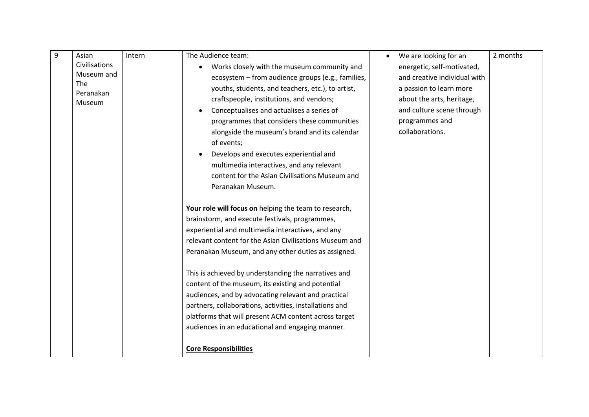| 9 | Asian         | Intern | The Audience team:                                      | We are looking for an             | 2 months |
|---|---------------|--------|---------------------------------------------------------|-----------------------------------|----------|
|   | Civilisations |        | Works closely with the museum community and             | energetic, self-motivated,        |          |
|   | Museum and    |        | ecosystem - from audience groups (e.g., families,       | and creative individual with      |          |
|   | <b>The</b>    |        | youths, students, and teachers, etc.), to artist,       | a passion to learn more           |          |
|   | Peranakan     |        | craftspeople, institutions, and vendors;                | about the arts, heritage,         |          |
|   | Museum        |        | Conceptualises and actualises a series of               | and culture scene through         |          |
|   |               |        |                                                         |                                   |          |
|   |               |        | programmes that considers these communities             | programmes and<br>collaborations. |          |
|   |               |        | alongside the museum's brand and its calendar           |                                   |          |
|   |               |        | of events;                                              |                                   |          |
|   |               |        | Develops and executes experiential and                  |                                   |          |
|   |               |        | multimedia interactives, and any relevant               |                                   |          |
|   |               |        | content for the Asian Civilisations Museum and          |                                   |          |
|   |               |        | Peranakan Museum.                                       |                                   |          |
|   |               |        | Your role will focus on helping the team to research,   |                                   |          |
|   |               |        | brainstorm, and execute festivals, programmes,          |                                   |          |
|   |               |        | experiential and multimedia interactives, and any       |                                   |          |
|   |               |        | relevant content for the Asian Civilisations Museum and |                                   |          |
|   |               |        | Peranakan Museum, and any other duties as assigned.     |                                   |          |
|   |               |        |                                                         |                                   |          |
|   |               |        | This is achieved by understanding the narratives and    |                                   |          |
|   |               |        | content of the museum, its existing and potential       |                                   |          |
|   |               |        | audiences, and by advocating relevant and practical     |                                   |          |
|   |               |        | partners, collaborations, activities, installations and |                                   |          |
|   |               |        | platforms that will present ACM content across target   |                                   |          |
|   |               |        | audiences in an educational and engaging manner.        |                                   |          |
|   |               |        |                                                         |                                   |          |
|   |               |        | <b>Core Responsibilities</b>                            |                                   |          |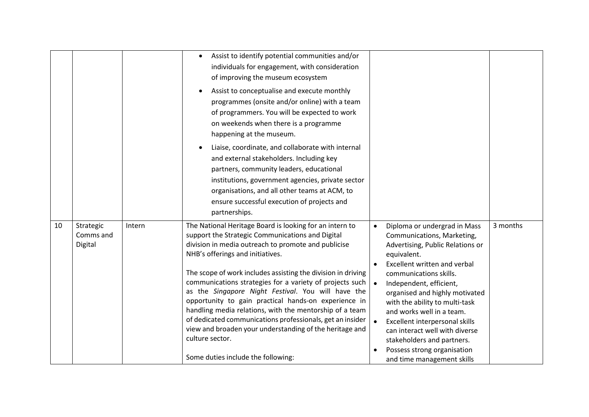|    |                                   |        | Assist to identify potential communities and/or<br>individuals for engagement, with consideration<br>of improving the museum ecosystem<br>Assist to conceptualise and execute monthly<br>programmes (onsite and/or online) with a team<br>of programmers. You will be expected to work<br>on weekends when there is a programme<br>happening at the museum.<br>Liaise, coordinate, and collaborate with internal<br>and external stakeholders. Including key<br>partners, community leaders, educational<br>institutions, government agencies, private sector<br>organisations, and all other teams at ACM, to<br>ensure successful execution of projects and<br>partnerships.               |           |                                                                                                                                                                                                                                                                                                                                                                                                                                                                    |          |
|----|-----------------------------------|--------|----------------------------------------------------------------------------------------------------------------------------------------------------------------------------------------------------------------------------------------------------------------------------------------------------------------------------------------------------------------------------------------------------------------------------------------------------------------------------------------------------------------------------------------------------------------------------------------------------------------------------------------------------------------------------------------------|-----------|--------------------------------------------------------------------------------------------------------------------------------------------------------------------------------------------------------------------------------------------------------------------------------------------------------------------------------------------------------------------------------------------------------------------------------------------------------------------|----------|
| 10 | Strategic<br>Comms and<br>Digital | Intern | The National Heritage Board is looking for an intern to<br>support the Strategic Communications and Digital<br>division in media outreach to promote and publicise<br>NHB's offerings and initiatives.<br>The scope of work includes assisting the division in driving<br>communications strategies for a variety of projects such<br>as the Singapore Night Festival. You will have the<br>opportunity to gain practical hands-on experience in<br>handling media relations, with the mentorship of a team<br>of dedicated communications professionals, get an insider<br>view and broaden your understanding of the heritage and<br>culture sector.<br>Some duties include the following: | $\bullet$ | Diploma or undergrad in Mass<br>Communications, Marketing,<br>Advertising, Public Relations or<br>equivalent.<br>Excellent written and verbal<br>communications skills.<br>Independent, efficient,<br>organised and highly motivated<br>with the ability to multi-task<br>and works well in a team.<br>Excellent interpersonal skills<br>can interact well with diverse<br>stakeholders and partners.<br>Possess strong organisation<br>and time management skills | 3 months |